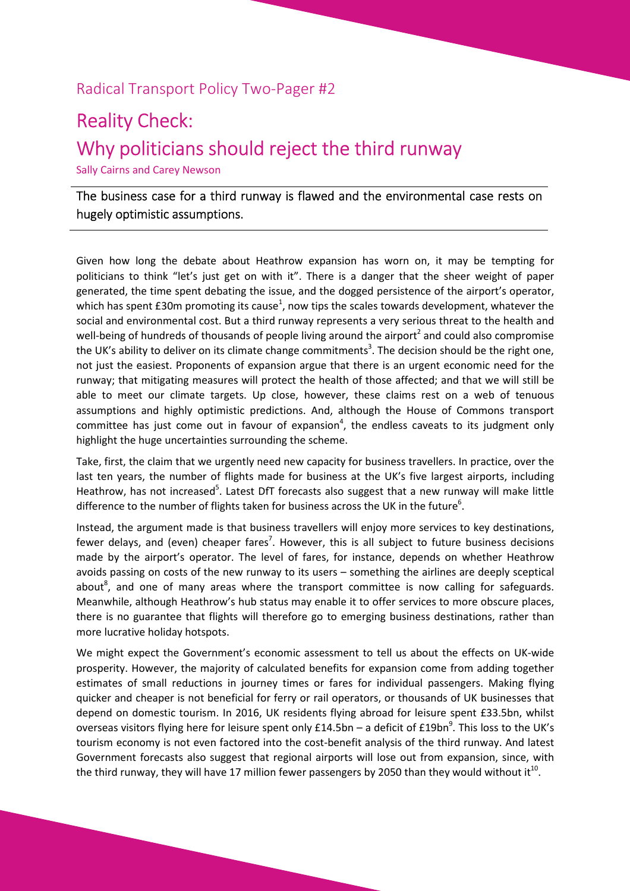## Radical Transport Policy Two-Pager #2

## Reality Check: Why politicians should reject the third runway

Sally Cairns and Carey Newson

The business case for a third runway is flawed and the environmental case rests on hugely optimistic assumptions.

Given how long the debate about Heathrow expansion has worn on, it may be tempting for politicians to think "let's just get on with it". There is a danger that the sheer weight of paper generated, the time spent debating the issue, and the dogged persistence of the airport's operator, which has spent £30m promoting its cause<sup>1</sup>, now tips the scales towards development, whatever the social and environmental cost. But a third runway represents a very serious threat to the health and well-being of hundreds of thousands of people living around the airport<sup>2</sup> and could also compromise the UK's ability to deliver on its climate change commitments<sup>3</sup>. The decision should be the right one, not just the easiest. Proponents of expansion argue that there is an urgent economic need for the runway; that mitigating measures will protect the health of those affected; and that we will still be able to meet our climate targets. Up close, however, these claims rest on a web of tenuous assumptions and highly optimistic predictions. And, although the House of Commons transport committee has just come out in favour of expansion<sup>4</sup>, the endless caveats to its judgment only highlight the huge uncertainties surrounding the scheme.

Take, first, the claim that we urgently need new capacity for business travellers. In practice, over the last ten years, the number of flights made for business at the UK's five largest airports, including Heathrow, has not increased<sup>5</sup>. Latest DfT forecasts also suggest that a new runway will make little difference to the number of flights taken for business across the UK in the future<sup>6</sup>.

Instead, the argument made is that business travellers will enjoy more services to key destinations, fewer delays, and (even) cheaper fares<sup>7</sup>. However, this is all subject to future business decisions made by the airport's operator. The level of fares, for instance, depends on whether Heathrow avoids passing on costs of the new runway to its users – something the airlines are deeply sceptical about<sup>8</sup>, and one of many areas where the transport committee is now calling for safeguards. Meanwhile, although Heathrow's hub status may enable it to offer services to more obscure places, there is no guarantee that flights will therefore go to emerging business destinations, rather than more lucrative holiday hotspots.

We might expect the Government's economic assessment to tell us about the effects on UK-wide prosperity. However, the majority of calculated benefits for expansion come from adding together estimates of small reductions in journey times or fares for individual passengers. Making flying quicker and cheaper is not beneficial for ferry or rail operators, or thousands of UK businesses that depend on domestic tourism. In 2016, UK residents flying abroad for leisure spent £33.5bn, whilst overseas visitors flying here for leisure spent only £14.5bn – a deficit of £19bn<sup>9</sup>. This loss to the UK's tourism economy is not even factored into the cost-benefit analysis of the third runway. And latest Government forecasts also suggest that regional airports will lose out from expansion, since, with the third runway, they will have 17 million fewer passengers by 2050 than they would without it $^{\rm 10}.$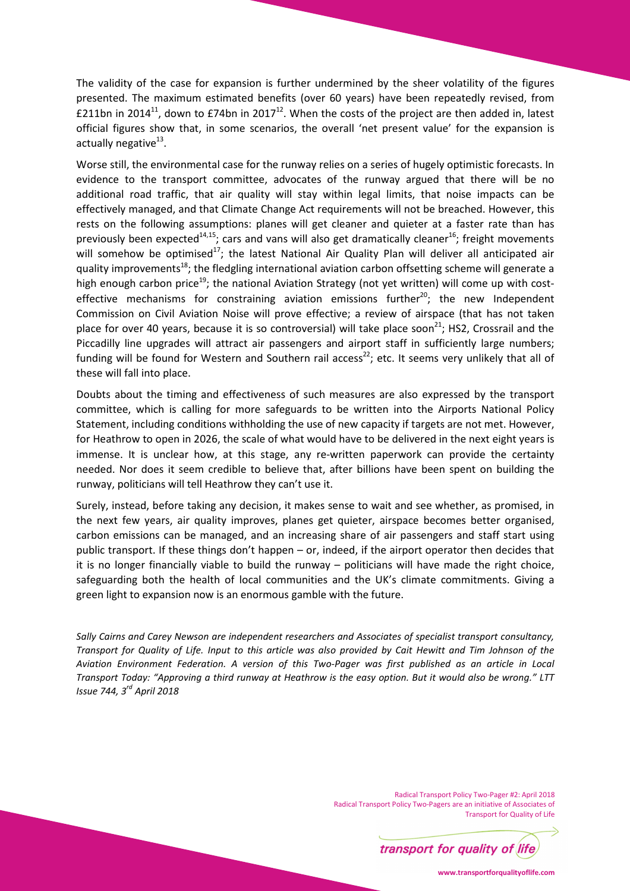The validity of the case for expansion is further undermined by the sheer volatility of the figures presented. The maximum estimated benefits (over 60 years) have been repeatedly revised, from £211bn in 2014<sup>11</sup>, down to £74bn in 2017<sup>12</sup>. When the costs of the project are then added in, latest official figures show that, in some scenarios, the overall 'net present value' for the expansion is actually negative<sup>13</sup>.

Worse still, the environmental case for the runway relies on a series of hugely optimistic forecasts. In evidence to the transport committee, advocates of the runway argued that there will be no additional road traffic, that air quality will stay within legal limits, that noise impacts can be effectively managed, and that Climate Change Act requirements will not be breached. However, this rests on the following assumptions: planes will get cleaner and quieter at a faster rate than has previously been expected<sup>14,15</sup>; cars and vans will also get dramatically cleaner<sup>16</sup>; freight movements will somehow be optimised<sup>17</sup>; the latest National Air Quality Plan will deliver all anticipated air quality improvements<sup>18</sup>; the fledgling international aviation carbon offsetting scheme will generate a high enough carbon price<sup>19</sup>; the national Aviation Strategy (not yet written) will come up with costeffective mechanisms for constraining aviation emissions further<sup>20</sup>; the new Independent Commission on Civil Aviation Noise will prove effective; a review of airspace (that has not taken place for over 40 years, because it is so controversial) will take place soon<sup>21</sup>; HS2, Crossrail and the Piccadilly line upgrades will attract air passengers and airport staff in sufficiently large numbers; funding will be found for Western and Southern rail access<sup>22</sup>; etc. It seems very unlikely that all of these will fall into place.

Doubts about the timing and effectiveness of such measures are also expressed by the transport committee, which is calling for more safeguards to be written into the Airports National Policy Statement, including conditions withholding the use of new capacity if targets are not met. However, for Heathrow to open in 2026, the scale of what would have to be delivered in the next eight years is immense. It is unclear how, at this stage, any re-written paperwork can provide the certainty needed. Nor does it seem credible to believe that, after billions have been spent on building the runway, politicians will tell Heathrow they can't use it.

Surely, instead, before taking any decision, it makes sense to wait and see whether, as promised, in the next few years, air quality improves, planes get quieter, airspace becomes better organised, carbon emissions can be managed, and an increasing share of air passengers and staff start using public transport. If these things don't happen – or, indeed, if the airport operator then decides that it is no longer financially viable to build the runway – politicians will have made the right choice, safeguarding both the health of local communities and the UK's climate commitments. Giving a green light to expansion now is an enormous gamble with the future.

*Sally Cairns and Carey Newson are independent researchers and Associates of specialist transport consultancy, Transport for Quality of Life. Input to this article was also provided by Cait Hewitt and Tim Johnson of the Aviation Environment Federation. A version of this Two-Pager was first published as an article in Local Transport Today: "Approving a third runway at Heathrow is the easy option. But it would also be wrong." LTT Issue 744, 3rd April 2018* 

> Radical Transport Policy Two-Pager #2: April 2018 Radical Transport Policy Two-Pagers are an initiative of Associates of Transport for Quality of Life



**www.transportforqualityoflife.com**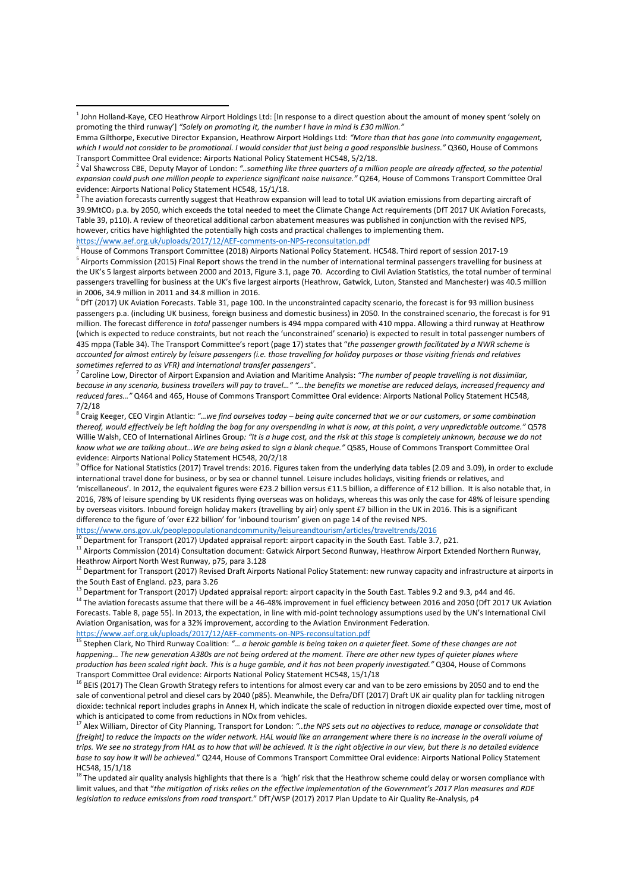https://www.aef.org.uk/uploads/2017/12/AEF-comments-on-NPS-reconsultation.pdf

 $\overline{\phantom{0}}$ 

4 House of Commons Transport Committee (2018) Airports National Policy Statement. HC548. Third report of session 2017-19 <sup>5</sup> Airports Commission (2015) Final Report shows the trend in the number of international terminal passengers travelling for business at the UK's 5 largest airports between 2000 and 2013, Figure 3.1, page 70. According to Civil Aviation Statistics, the total number of terminal passengers travelling for business at the UK's five largest airports (Heathrow, Gatwick, Luton, Stansted and Manchester) was 40.5 million in 2006, 34.9 million in 2011 and 34.8 million in 2016.

<sup>6</sup> DfT (2017) UK Aviation Forecasts. Table 31, page 100. In the unconstrainted capacity scenario, the forecast is for 93 million business passengers p.a. (including UK business, foreign business and domestic business) in 2050. In the constrained scenario, the forecast is for 91 million. The forecast difference in *total* passenger numbers is 494 mppa compared with 410 mppa. Allowing a third runway at Heathrow (which is expected to reduce constraints, but not reach the 'unconstrained' scenario) is expected to result in total passenger numbers of 435 mppa (Table 34). The Transport Committee's report (page 17) states that "*the passenger growth facilitated by a NWR scheme is accounted for almost entirely by leisure passengers (i.e. those travelling for holiday purposes or those visiting friends and relatives sometimes referred to as VFR) and international transfer passengers*".

7 Caroline Low, Director of Airport Expansion and Aviation and Maritime Analysis: *"The number of people travelling is not dissimilar, because in any scenario, business travellers will pay to travel…" "…the benefits we monetise are reduced delays, increased frequency and reduced fares…"* Q464 and 465, House of Commons Transport Committee Oral evidence: Airports National Policy Statement HC548, 7/2/18

8 Craig Keeger, CEO Virgin Atlantic: *"…we find ourselves today – being quite concerned that we or our customers, or some combination thereof, would effectively be left holding the bag for any overspending in what is now, at this point, a very unpredictable outcome."* Q578 Willie Walsh, CEO of International Airlines Group*: "It is a huge cost, and the risk at this stage is completely unknown, because we do not know what we are talking about…We are being asked to sign a blank cheque."* Q585, House of Commons Transport Committee Oral evidence: Airports National Policy Statement HC548, 20/2/18<br><sup>9</sup> Office for National Statistics (2017) Travel trande: 2016, Figur

 Office for National Statistics (2017) Travel trends: 2016. Figures taken from the underlying data tables (2.09 and 3.09), in order to exclude international travel done for business, or by sea or channel tunnel. Leisure includes holidays, visiting friends or relatives, and 'miscellaneous'. In 2012, the equivalent figures were £23.2 billion versus £11.5 billion, a difference of £12 billion. It is also notable that, in 2016, 78% of leisure spending by UK residents flying overseas was on holidays, whereas this was only the case for 48% of leisure spending by overseas visitors. Inbound foreign holiday makers (travelling by air) only spent £7 billion in the UK in 2016. This is a significant difference to the figure of 'over £22 billion' for 'inbound tourism' given on page 14 of the revised NPS.

https://www.ons.gov.uk/peoplepopulationandcommunity/leisureandtourism/articles/traveltrends/2016 <sup>10</sup> Department for Transport (2017) Updated appraisal report: airport capacity in the South East. Table 3.7, p21.

<sup>11</sup> Airports Commission (2014) Consultation document: Gatwick Airport Second Runway, Heathrow Airport Extended Northern Runway, Heathrow Airport North West Runway, p75, para 3.128

<sup>12</sup> Department for Transport (2017) Revised Draft Airports National Policy Statement: new runway capacity and infrastructure at airports in the South East of England. p23, para 3.26

<sup>13</sup> Department for Transport (2017) Updated appraisal report: airport capacity in the South East. Tables 9.2 and 9.3, p44 and 46.

<sup>14</sup> The aviation forecasts assume that there will be a 46-48% improvement in fuel efficiency between 2016 and 2050 (DfT 2017 UK Aviation Forecasts. Table 8, page 55). In 2013, the expectation, in line with mid-point technology assumptions used by the UN's International Civil Aviation Organisation, was for a 32% improvement, according to the Aviation Environment Federation.

https://www.aef.org.uk/uploads/2017/12/AEF-comments-on-NPS-reconsultation.pdf

<sup>15</sup> Stephen Clark, No Third Runway Coalition: *"… a heroic gamble is being taken on a quieter fleet. Some of these changes are not happening… The new generation A380s are not being ordered at the moment. There are other new types of quieter planes where production has been scaled right back. This is a huge gamble, and it has not been properly investigated."* Q304, House of Commons Transport Committee Oral evidence: Airports National Policy Statement HC548, 15/1/18

<sup>16</sup> BEIS (2017) The Clean Growth Strategy refers to intentions for almost every car and van to be zero emissions by 2050 and to end the sale of conventional petrol and diesel cars by 2040 (p85). Meanwhile, the Defra/DfT (2017) Draft UK air quality plan for tackling nitrogen dioxide: technical report includes graphs in Annex H, which indicate the scale of reduction in nitrogen dioxide expected over time, most of which is anticipated to come from reductions in NOx from vehicles.

<sup>17</sup> Alex William, Director of City Planning, Transport for London: "..the NPS sets out no objectives to reduce, manage or consolidate that *[freight]* to reduce the impacts on the wider network. HAL would like an arrangement where there is no increase in the overall volume of *trips. We see no strategy from HAL as to how that will be achieved. It is the right objective in our view, but there is no detailed evidence base to say how it will be achieved*." Q244, House of Commons Transport Committee Oral evidence: Airports National Policy Statement HC548, 15/1/18

 $18$  The updated air quality analysis highlights that there is a 'high' risk that the Heathrow scheme could delay or worsen compliance with limit values, and that "*the mitigation of risks relies on the effective implementation of the Government's 2017 Plan measures and RDE legislation to reduce emissions from road transport.*" DfT/WSP (2017) 2017 Plan Update to Air Quality Re-Analysis, p4

<sup>&</sup>lt;sup>1</sup> John Holland-Kaye, CEO Heathrow Airport Holdings Ltd: [In response to a direct question about the amount of money spent 'solely on promoting the third runway'] *"Solely on promoting it, the number I have in mind is £30 million."* 

Emma Gilthorpe, Executive Director Expansion, Heathrow Airport Holdings Ltd: *"More than that has gone into community engagement, which I would not consider to be promotional. I would consider that just being a good responsible business."* Q360, House of Commons Transport Committee Oral evidence: Airports National Policy Statement HC548, 5/2/18.

<sup>2</sup> Val Shawcross CBE, Deputy Mayor of London: *"..something like three quarters of a million people are already affected, so the potential expansion could push one million people to experience significant noise nuisance."* Q264, House of Commons Transport Committee Oral evidence: Airports National Policy Statement HC548, 15/1/18.

 $3$  The aviation forecasts currently suggest that Heathrow expansion will lead to total UK aviation emissions from departing aircraft of 39.9MtCO<sub>2</sub> p.a. by 2050, which exceeds the total needed to meet the Climate Change Act requirements (DfT 2017 UK Aviation Forecasts, Table 39, p110). A review of theoretical additional carbon abatement measures was published in conjunction with the revised NPS, however, critics have highlighted the potentially high costs and practical challenges to implementing them.